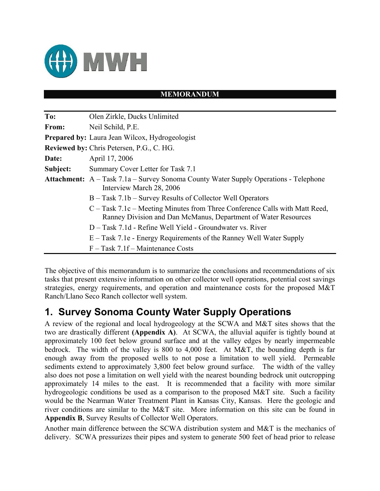

#### **MEMORANDUM**

| To:      | Olen Zirkle, Ducks Unlimited                                                                                                                  |
|----------|-----------------------------------------------------------------------------------------------------------------------------------------------|
| From:    | Neil Schild, P.E.                                                                                                                             |
|          | <b>Prepared by:</b> Laura Jean Wilcox, Hydrogeologist                                                                                         |
|          | <b>Reviewed by: Chris Petersen, P.G., C. HG.</b>                                                                                              |
| Date:    | April 17, 2006                                                                                                                                |
| Subject: | Summary Cover Letter for Task 7.1                                                                                                             |
|          | <b>Attachment:</b> A – Task 7.1a – Survey Sonoma County Water Supply Operations - Telephone<br>Interview March 28, 2006                       |
|          | B – Task 7.1b – Survey Results of Collector Well Operators                                                                                    |
|          | C – Task 7.1c – Meeting Minutes from Three Conference Calls with Matt Reed,<br>Ranney Division and Dan McManus, Department of Water Resources |
|          | D – Task 7.1d - Refine Well Yield - Groundwater vs. River                                                                                     |
|          | E – Task 7.1e - Energy Requirements of the Ranney Well Water Supply                                                                           |
|          | $F - Task$ 7.1f – Maintenance Costs                                                                                                           |

The objective of this memorandum is to summarize the conclusions and recommendations of six tasks that present extensive information on other collector well operations, potential cost savings strategies, energy requirements, and operation and maintenance costs for the proposed M&T Ranch/Llano Seco Ranch collector well system.

#### **1. Survey Sonoma County Water Supply Operations**

A review of the regional and local hydrogeology at the SCWA and M&T sites shows that the two are drastically different **(Appendix A)**. At SCWA, the alluvial aquifer is tightly bound at approximately 100 feet below ground surface and at the valley edges by nearly impermeable bedrock. The width of the valley is 800 to 4,000 feet. At M&T, the bounding depth is far enough away from the proposed wells to not pose a limitation to well yield. Permeable sediments extend to approximately 3,800 feet below ground surface. The width of the valley also does not pose a limitation on well yield with the nearest bounding bedrock unit outcropping approximately 14 miles to the east. It is recommended that a facility with more similar hydrogeologic conditions be used as a comparison to the proposed M&T site. Such a facility would be the Nearman Water Treatment Plant in Kansas City, Kansas. Here the geologic and river conditions are similar to the M&T site. More information on this site can be found in **Appendix B**, Survey Results of Collector Well Operators.

Another main difference between the SCWA distribution system and M&T is the mechanics of delivery. SCWA pressurizes their pipes and system to generate 500 feet of head prior to release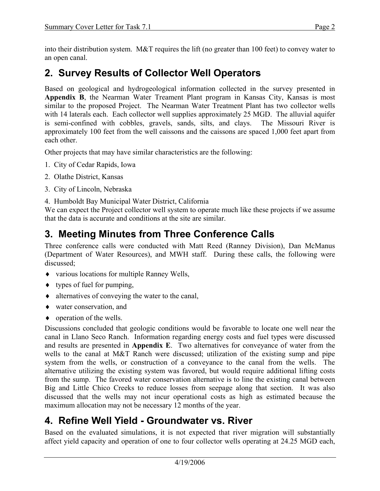into their distribution system. M&T requires the lift (no greater than 100 feet) to convey water to an open canal.

## **2. Survey Results of Collector Well Operators**

Based on geological and hydrogeological information collected in the survey presented in **Appendix B**, the Nearman Water Treament Plant program in Kansas City, Kansas is most similar to the proposed Project. The Nearman Water Treatment Plant has two collector wells with 14 laterals each. Each collector well supplies approximately 25 MGD. The alluvial aquifer is semi-confined with cobbles, gravels, sands, silts, and clays. The Missouri River is approximately 100 feet from the well caissons and the caissons are spaced 1,000 feet apart from each other.

Other projects that may have similar characteristics are the following:

- 1. City of Cedar Rapids, Iowa
- 2. Olathe District, Kansas
- 3. City of Lincoln, Nebraska
- 4. Humboldt Bay Municipal Water District, California

We can expect the Project collector well system to operate much like these projects if we assume that the data is accurate and conditions at the site are similar.

### **3. Meeting Minutes from Three Conference Calls**

Three conference calls were conducted with Matt Reed (Ranney Division), Dan McManus (Department of Water Resources), and MWH staff. During these calls, the following were discussed;

- ♦ various locations for multiple Ranney Wells,
- $\bullet$  types of fuel for pumping,
- ♦ alternatives of conveying the water to the canal,
- ♦ water conservation, and
- $\bullet$  operation of the wells.

Discussions concluded that geologic conditions would be favorable to locate one well near the canal in Llano Seco Ranch. Information regarding energy costs and fuel types were discussed and results are presented in **Appendix E**. Two alternatives for conveyance of water from the wells to the canal at M&T Ranch were discussed; utilization of the existing sump and pipe system from the wells, or construction of a conveyance to the canal from the wells. The alternative utilizing the existing system was favored, but would require additional lifting costs from the sump. The favored water conservation alternative is to line the existing canal between Big and Little Chico Creeks to reduce losses from seepage along that section. It was also discussed that the wells may not incur operational costs as high as estimated because the maximum allocation may not be necessary 12 months of the year.

### **4. Refine Well Yield - Groundwater vs. River**

Based on the evaluated simulations, it is not expected that river migration will substantially affect yield capacity and operation of one to four collector wells operating at 24.25 MGD each,